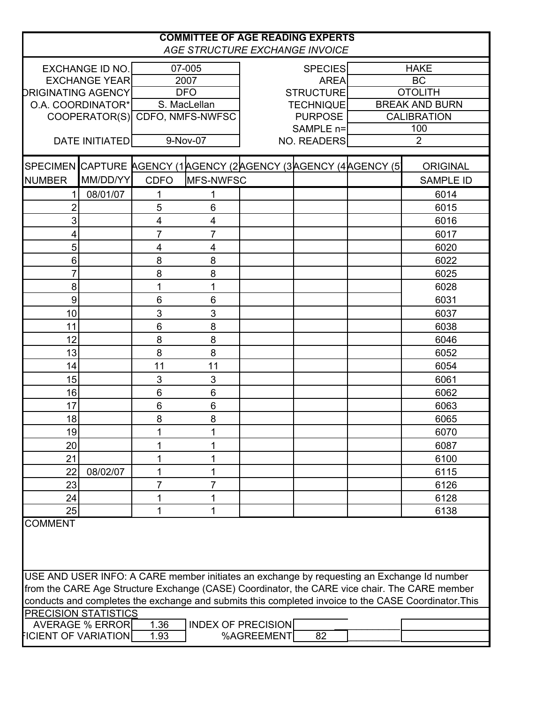| <b>COMMITTEE OF AGE READING EXPERTS</b><br>AGE STRUCTURE EXCHANGE INVOICE                                                                                                                   |                        |                         |                         |                           |                                                                |             |                       |  |
|---------------------------------------------------------------------------------------------------------------------------------------------------------------------------------------------|------------------------|-------------------------|-------------------------|---------------------------|----------------------------------------------------------------|-------------|-----------------------|--|
|                                                                                                                                                                                             | <b>EXCHANGE ID NO.</b> | 07-005                  |                         | <b>SPECIES</b>            |                                                                | <b>HAKE</b> |                       |  |
| <b>EXCHANGE YEAR</b>                                                                                                                                                                        |                        | 2007                    |                         |                           | <b>AREA</b>                                                    | <b>BC</b>   |                       |  |
| <b>DRIGINATING AGENCY</b>                                                                                                                                                                   |                        |                         | <b>DFO</b>              |                           | <b>STRUCTURE</b>                                               |             | <b>OTOLITH</b>        |  |
|                                                                                                                                                                                             | O.A. COORDINATOR*      | S. MacLellan            |                         |                           | <b>TECHNIQUE</b>                                               |             | <b>BREAK AND BURN</b> |  |
|                                                                                                                                                                                             | COOPERATOR(S)          | CDFO, NMFS-NWFSC        |                         |                           | <b>PURPOSE</b>                                                 |             | <b>CALIBRATION</b>    |  |
|                                                                                                                                                                                             |                        |                         |                         |                           | SAMPLE n=                                                      |             | 100                   |  |
|                                                                                                                                                                                             | <b>DATE INITIATED</b>  |                         | 9-Nov-07                | NO. READERS               |                                                                |             | $\overline{2}$        |  |
|                                                                                                                                                                                             |                        |                         |                         |                           | SPECIMEN CAPTURE AGENCY (1AGENCY (2AGENCY (3AGENCY (4AGENCY (5 |             | <b>ORIGINAL</b>       |  |
| <b>NUMBER</b>                                                                                                                                                                               | MM/DD/YY               | <b>CDFO</b>             | MFS-NWFSC               |                           |                                                                |             | <b>SAMPLE ID</b>      |  |
|                                                                                                                                                                                             | 08/01/07               | 1                       | 1                       |                           |                                                                |             | 6014                  |  |
| 2                                                                                                                                                                                           |                        | 5                       | 6                       |                           |                                                                |             | 6015                  |  |
| 3                                                                                                                                                                                           |                        | $\overline{\mathbf{4}}$ | $\overline{\mathbf{4}}$ |                           |                                                                |             | 6016                  |  |
| 4                                                                                                                                                                                           |                        | $\overline{7}$          | $\overline{7}$          |                           |                                                                |             | 6017                  |  |
| 5                                                                                                                                                                                           |                        | 4                       | $\overline{4}$          |                           |                                                                |             | 6020                  |  |
| $6\phantom{1}6$                                                                                                                                                                             |                        | 8                       | 8                       |                           |                                                                |             | 6022                  |  |
| 7                                                                                                                                                                                           |                        | 8                       | 8                       |                           |                                                                |             | 6025                  |  |
| 8                                                                                                                                                                                           |                        | 1                       | 1                       |                           |                                                                |             | 6028                  |  |
| $\boldsymbol{9}$                                                                                                                                                                            |                        | 6                       | $\,6$                   |                           |                                                                |             | 6031                  |  |
| 10                                                                                                                                                                                          |                        | 3                       | 3                       |                           |                                                                |             | 6037                  |  |
| 11                                                                                                                                                                                          |                        | 6                       | 8                       |                           |                                                                |             | 6038                  |  |
| 12                                                                                                                                                                                          |                        | 8                       | 8                       |                           |                                                                |             | 6046                  |  |
| 13                                                                                                                                                                                          |                        | 8                       | 8                       |                           |                                                                |             | 6052                  |  |
| 14                                                                                                                                                                                          |                        | 11                      | 11                      |                           |                                                                |             | 6054                  |  |
| 15                                                                                                                                                                                          |                        | 3                       | 3                       |                           |                                                                |             | 6061                  |  |
| 16                                                                                                                                                                                          |                        | 6                       | $\,6$                   |                           |                                                                |             | 6062                  |  |
| 17                                                                                                                                                                                          |                        | 6                       | $6\phantom{1}$          |                           |                                                                |             | 6063                  |  |
| 18                                                                                                                                                                                          |                        | 8                       | 8                       |                           |                                                                |             | 6065                  |  |
| 19                                                                                                                                                                                          |                        | 1                       | 1                       |                           |                                                                |             | 6070                  |  |
| 20                                                                                                                                                                                          |                        | 1                       | 1                       |                           |                                                                |             | 6087                  |  |
| 21                                                                                                                                                                                          |                        | 1                       | 1                       |                           |                                                                |             | 6100                  |  |
| 22                                                                                                                                                                                          | 08/02/07               | 1                       | 1                       |                           |                                                                |             | 6115                  |  |
| 23                                                                                                                                                                                          |                        | $\overline{7}$          | $\overline{7}$          |                           |                                                                |             | 6126                  |  |
| 24                                                                                                                                                                                          |                        | 1                       | 1                       |                           |                                                                |             | 6128                  |  |
| 25                                                                                                                                                                                          |                        | 1                       | 1                       |                           |                                                                |             | 6138                  |  |
| <b>COMMENT</b>                                                                                                                                                                              |                        |                         |                         |                           |                                                                |             |                       |  |
| USE AND USER INFO: A CARE member initiates an exchange by requesting an Exchange Id number<br>from the CARE Age Structure Exchange (CASE) Coordinator, the CARE vice chair. The CARE member |                        |                         |                         |                           |                                                                |             |                       |  |
| conducts and completes the exchange and submits this completed invoice to the CASE Coordinator. This                                                                                        |                        |                         |                         |                           |                                                                |             |                       |  |
| <b>PRECISION STATISTICS</b>                                                                                                                                                                 |                        |                         |                         |                           |                                                                |             |                       |  |
|                                                                                                                                                                                             | AVERAGE % ERROR        | 1.36                    |                         | <b>INDEX OF PRECISION</b> |                                                                |             |                       |  |
| <b>FICIENT OF VARIATION</b>                                                                                                                                                                 |                        | 1.93                    |                         | %AGREEMENT                | 82                                                             |             |                       |  |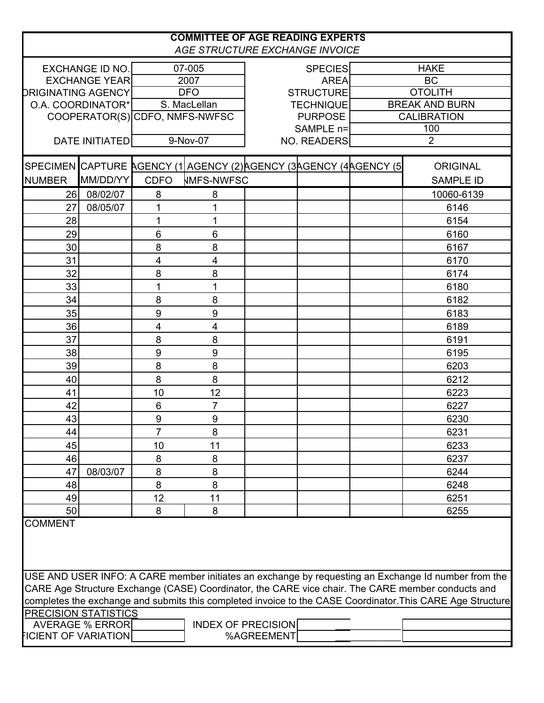| <b>COMMITTEE OF AGE READING EXPERTS</b><br>AGE STRUCTURE EXCHANGE INVOICE                                  |                       |                                |                                                                     |                           |                               |  |                          |  |  |
|------------------------------------------------------------------------------------------------------------|-----------------------|--------------------------------|---------------------------------------------------------------------|---------------------------|-------------------------------|--|--------------------------|--|--|
|                                                                                                            |                       |                                |                                                                     |                           |                               |  |                          |  |  |
| EXCHANGE ID NO.<br><b>EXCHANGE YEAR</b>                                                                    |                       | 07-005<br>2007                 |                                                                     |                           | <b>SPECIES</b><br><b>AREA</b> |  | <b>HAKE</b><br><b>BC</b> |  |  |
| <b>DRIGINATING AGENCY</b>                                                                                  |                       | <b>DFO</b>                     |                                                                     |                           | <b>STRUCTURE</b>              |  | <b>OTOLITH</b>           |  |  |
|                                                                                                            | O.A. COORDINATOR*     | S. MacLellan                   |                                                                     |                           | <b>TECHNIQUE</b>              |  | <b>BREAK AND BURN</b>    |  |  |
|                                                                                                            |                       | COOPERATOR(S) CDFO, NMFS-NWFSC |                                                                     |                           | <b>PURPOSE</b>                |  | <b>CALIBRATION</b>       |  |  |
|                                                                                                            |                       |                                |                                                                     |                           | SAMPLE n=                     |  | 100                      |  |  |
|                                                                                                            | <b>DATE INITIATED</b> |                                | 9-Nov-07                                                            |                           | <b>NO. READERS</b>            |  | $\overline{2}$           |  |  |
|                                                                                                            |                       |                                | SPECIMEN CAPTURE AGENCY (1 AGENCY (2) AGENCY (3 AGENCY (4 AGENCY (5 |                           |                               |  | <b>ORIGINAL</b>          |  |  |
| <b>NUMBER</b>                                                                                              | MM/DD/YY              | <b>CDFO</b>                    | <b>NMFS-NWFSC</b>                                                   |                           |                               |  | <b>SAMPLE ID</b>         |  |  |
| 26                                                                                                         | 08/02/07              | 8                              | 8                                                                   |                           |                               |  | 10060-6139               |  |  |
| 27                                                                                                         | 08/05/07              | 1                              | 1                                                                   |                           |                               |  | 6146                     |  |  |
| 28                                                                                                         |                       | 1                              | 1                                                                   |                           |                               |  | 6154                     |  |  |
| 29                                                                                                         |                       | 6                              | 6                                                                   |                           |                               |  | 6160                     |  |  |
| 30                                                                                                         |                       | 8                              | 8                                                                   |                           |                               |  | 6167                     |  |  |
| 31                                                                                                         |                       | 4                              | 4                                                                   |                           |                               |  | 6170                     |  |  |
| 32                                                                                                         |                       | 8                              | 8                                                                   |                           |                               |  | 6174                     |  |  |
| 33                                                                                                         |                       | 1                              | 1                                                                   |                           |                               |  | 6180                     |  |  |
| 34                                                                                                         |                       | 8                              | 8                                                                   |                           |                               |  | 6182                     |  |  |
| 35                                                                                                         |                       | 9                              | 9                                                                   |                           |                               |  | 6183                     |  |  |
| 36                                                                                                         |                       | 4                              | 4                                                                   |                           |                               |  | 6189                     |  |  |
| 37                                                                                                         |                       | 8                              | 8                                                                   |                           |                               |  | 6191                     |  |  |
| 38                                                                                                         |                       | 9                              | 9                                                                   |                           |                               |  | 6195                     |  |  |
| 39                                                                                                         |                       | 8                              | 8                                                                   |                           |                               |  | 6203                     |  |  |
| 40                                                                                                         |                       | 8                              | 8                                                                   |                           |                               |  | 6212                     |  |  |
| 41                                                                                                         |                       | 10                             | 12                                                                  |                           |                               |  | 6223                     |  |  |
| 42                                                                                                         |                       | 6                              | 7                                                                   |                           |                               |  | 6227                     |  |  |
| 43                                                                                                         |                       | 9                              | 9                                                                   |                           |                               |  | 6230                     |  |  |
| 44                                                                                                         |                       | 7                              |                                                                     |                           |                               |  | 6231                     |  |  |
|                                                                                                            |                       |                                | 8                                                                   |                           |                               |  |                          |  |  |
| 45                                                                                                         |                       | 10                             | 11                                                                  |                           |                               |  | 6233                     |  |  |
| 46                                                                                                         |                       | 8                              | 8                                                                   |                           |                               |  | 6237                     |  |  |
| 47                                                                                                         | 08/03/07              | 8                              | 8                                                                   |                           |                               |  | 6244                     |  |  |
| 48                                                                                                         |                       | 8                              | 8                                                                   |                           |                               |  | 6248                     |  |  |
| 49                                                                                                         |                       | 12                             | 11                                                                  |                           |                               |  | 6251                     |  |  |
| 50                                                                                                         |                       | 8                              | 8                                                                   |                           |                               |  | 6255                     |  |  |
| <b>COMMENT</b>                                                                                             |                       |                                |                                                                     |                           |                               |  |                          |  |  |
| USE AND USER INFO: A CARE member initiates an exchange by requesting an Exchange Id number from the        |                       |                                |                                                                     |                           |                               |  |                          |  |  |
| CARE Age Structure Exchange (CASE) Coordinator, the CARE vice chair. The CARE member conducts and          |                       |                                |                                                                     |                           |                               |  |                          |  |  |
| completes the exchange and submits this completed invoice to the CASE Coordinator. This CARE Age Structure |                       |                                |                                                                     |                           |                               |  |                          |  |  |
| <b>PRECISION STATISTICS</b>                                                                                |                       |                                |                                                                     |                           |                               |  |                          |  |  |
|                                                                                                            | AVERAGE % ERROR       |                                |                                                                     | <b>INDEX OF PRECISION</b> |                               |  |                          |  |  |
| <b>FICIENT OF VARIATION</b><br>%AGREEMENT                                                                  |                       |                                |                                                                     |                           |                               |  |                          |  |  |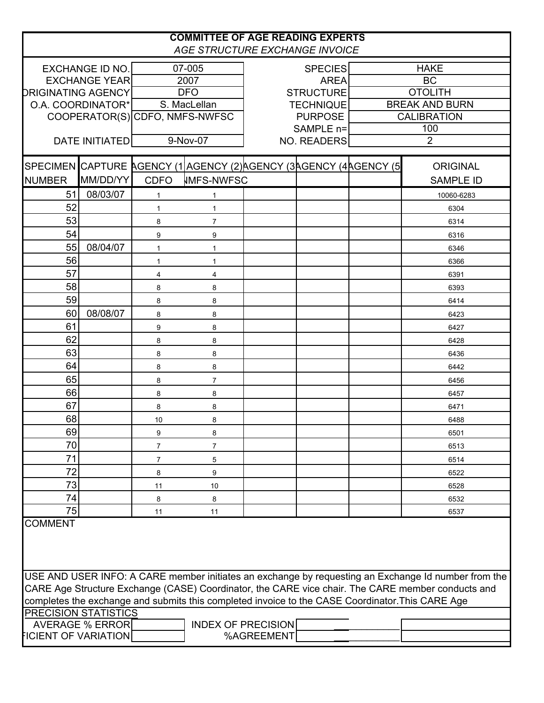| <b>COMMITTEE OF AGE READING EXPERTS</b><br>AGE STRUCTURE EXCHANGE INVOICE                                                       |                        |                |                                                                     |                           |                    |  |                       |  |
|---------------------------------------------------------------------------------------------------------------------------------|------------------------|----------------|---------------------------------------------------------------------|---------------------------|--------------------|--|-----------------------|--|
| EXCHANGE ID NO.<br>07-005<br><b>SPECIES</b>                                                                                     |                        |                |                                                                     |                           |                    |  | <b>HAKE</b>           |  |
| <b>EXCHANGE YEAR</b>                                                                                                            |                        | 2007           |                                                                     |                           | <b>AREA</b>        |  | <b>BC</b>             |  |
| <b>DRIGINATING AGENCY</b>                                                                                                       |                        | <b>DFO</b>     |                                                                     |                           | <b>STRUCTURE</b>   |  | <b>OTOLITH</b>        |  |
| O.A. COORDINATOR*                                                                                                               |                        |                | S. MacLellan                                                        |                           | <b>TECHNIQUE</b>   |  | <b>BREAK AND BURN</b> |  |
|                                                                                                                                 |                        |                | COOPERATOR(S) CDFO, NMFS-NWFSC                                      |                           | <b>PURPOSE</b>     |  | <b>CALIBRATION</b>    |  |
|                                                                                                                                 |                        |                |                                                                     | SAMPLE n=                 |                    |  | 100                   |  |
|                                                                                                                                 | <b>DATE INITIATED</b>  |                | 9-Nov-07                                                            |                           | <b>NO. READERS</b> |  | $\overline{2}$        |  |
|                                                                                                                                 |                        |                | SPECIMEN CAPTURE AGENCY (1 AGENCY (2) AGENCY (3 AGENCY (4 AGENCY (5 |                           |                    |  | <b>ORIGINAL</b>       |  |
| <b>NUMBER</b>                                                                                                                   | MM/DD/YY               | <b>CDFO</b>    | <b>IMFS-NWFSC</b>                                                   |                           |                    |  | <b>SAMPLE ID</b>      |  |
| 51                                                                                                                              | 08/03/07               | $\mathbf{1}$   | 1                                                                   |                           |                    |  | 10060-6283            |  |
| 52                                                                                                                              |                        | 1              | 1                                                                   |                           |                    |  | 6304                  |  |
| 53                                                                                                                              |                        | 8              | $\overline{7}$                                                      |                           |                    |  | 6314                  |  |
| 54                                                                                                                              |                        | 9              | 9                                                                   |                           |                    |  | 6316                  |  |
| 55                                                                                                                              | 08/04/07               | $\mathbf{1}$   | 1                                                                   |                           |                    |  | 6346                  |  |
| 56                                                                                                                              |                        | 1              | 1                                                                   |                           |                    |  | 6366                  |  |
| 57                                                                                                                              |                        | 4              | 4                                                                   |                           |                    |  | 6391                  |  |
| 58                                                                                                                              |                        | 8              | 8                                                                   |                           |                    |  | 6393                  |  |
| 59                                                                                                                              |                        | 8              | 8                                                                   |                           |                    |  | 6414                  |  |
| 60                                                                                                                              | 08/08/07               | 8              | 8                                                                   |                           |                    |  | 6423                  |  |
| 61                                                                                                                              |                        | 9              | 8                                                                   |                           |                    |  | 6427                  |  |
| 62                                                                                                                              |                        | 8              | 8                                                                   |                           |                    |  | 6428                  |  |
| 63                                                                                                                              |                        | 8              | 8                                                                   |                           |                    |  | 6436                  |  |
| 64                                                                                                                              |                        | 8              | 8                                                                   |                           |                    |  | 6442                  |  |
| 65                                                                                                                              |                        | 8              | $\overline{7}$                                                      |                           |                    |  | 6456                  |  |
| 66                                                                                                                              |                        | 8              | 8                                                                   |                           |                    |  | 6457                  |  |
| 67                                                                                                                              |                        | 8              | 8                                                                   |                           |                    |  | 6471                  |  |
| 68                                                                                                                              |                        | 10             | 8                                                                   |                           |                    |  | 6488                  |  |
| 69                                                                                                                              |                        | 9              | 8                                                                   |                           |                    |  | 6501                  |  |
| 70                                                                                                                              |                        | $\overline{7}$ | $\overline{7}$                                                      |                           |                    |  | 6513                  |  |
| 71                                                                                                                              |                        | $\overline{7}$ | 5                                                                   |                           |                    |  | 6514                  |  |
| 72                                                                                                                              |                        | 8              | 9                                                                   |                           |                    |  | 6522                  |  |
| 73                                                                                                                              |                        | 11             | 10                                                                  |                           |                    |  | 6528                  |  |
| 74                                                                                                                              |                        | 8              | 8                                                                   |                           |                    |  | 6532                  |  |
| 75                                                                                                                              |                        | 11             | 11                                                                  |                           |                    |  | 6537                  |  |
| <b>COMMENT</b>                                                                                                                  |                        |                |                                                                     |                           |                    |  |                       |  |
| USE AND USER INFO: A CARE member initiates an exchange by requesting an Exchange Id number from the                             |                        |                |                                                                     |                           |                    |  |                       |  |
| CARE Age Structure Exchange (CASE) Coordinator, the CARE vice chair. The CARE member conducts and                               |                        |                |                                                                     |                           |                    |  |                       |  |
| completes the exchange and submits this completed invoice to the CASE Coordinator. This CARE Age<br><b>PRECISION STATISTICS</b> |                        |                |                                                                     |                           |                    |  |                       |  |
|                                                                                                                                 | <b>AVERAGE % ERROR</b> |                |                                                                     | <b>INDEX OF PRECISION</b> |                    |  |                       |  |
| <b>FICIENT OF VARIATION</b>                                                                                                     |                        |                |                                                                     | %AGREEMENT                |                    |  |                       |  |
|                                                                                                                                 |                        |                |                                                                     |                           |                    |  |                       |  |